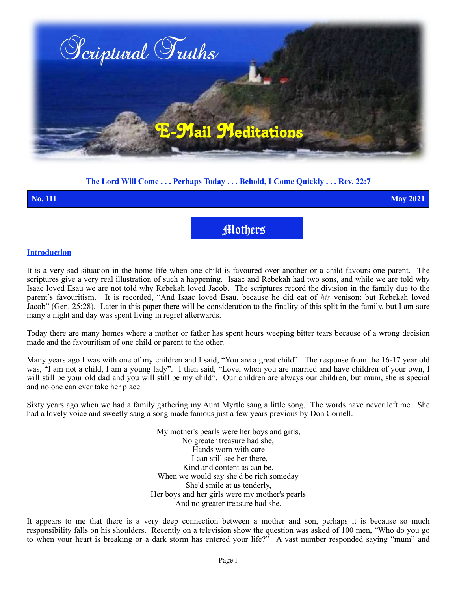

### **The Lord Will Come . . . Perhaps Today . . . Behold, I Come Quickly . . . Rev. 22:7**

**No. 111 May 2021**

Mothers

#### **Introduction**

It is a very sad situation in the home life when one child is favoured over another or a child favours one parent. The scriptures give a very real illustration of such a happening. Isaac and Rebekah had two sons, and while we are told why Isaac loved Esau we are not told why Rebekah loved Jacob. The scriptures record the division in the family due to the parent's favouritism. It is recorded, "And Isaac loved Esau, because he did eat of *his* venison: but Rebekah loved Jacob" (Gen. 25:28). Later in this paper there will be consideration to the finality of this split in the family, but I am sure many a night and day was spent living in regret afterwards.

Today there are many homes where a mother or father has spent hours weeping bitter tears because of a wrong decision made and the favouritism of one child or parent to the other.

Many years ago I was with one of my children and I said, "You are a great child". The response from the 16-17 year old was, "I am not a child, I am a young lady". I then said, "Love, when you are married and have children of your own, I will still be your old dad and you will still be my child". Our children are always our children, but mum, she is special and no one can ever take her place.

Sixty years ago when we had a family gathering my Aunt Myrtle sang a little song. The words have never left me. She had a lovely voice and sweetly sang a song made famous just a few years previous by Don Cornell.

> My mother's pearls were her boys and girls, No greater treasure had she, Hands worn with care I can still see her there, Kind and content as can be. When we would say she'd be rich someday She'd smile at us tenderly, Her boys and her girls were my mother's pearls And no greater treasure had she.

It appears to me that there is a very deep connection between a mother and son, perhaps it is because so much responsibility falls on his shoulders. Recently on a television show the question was asked of 100 men, "Who do you go to when your heart is breaking or a dark storm has entered your life?" A vast number responded saying "mum" and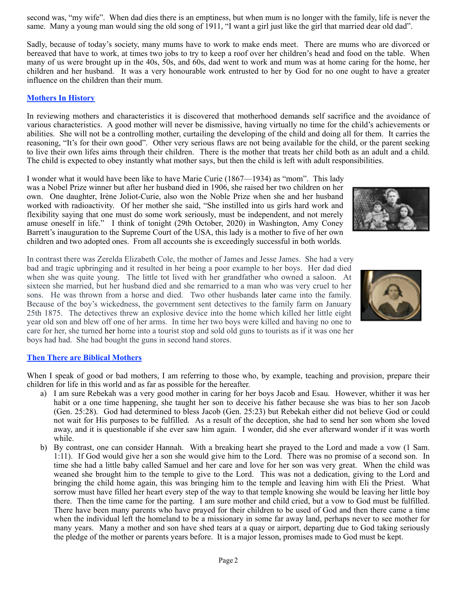second was, "my wife". When dad dies there is an emptiness, but when mum is no longer with the family, life is never the same. Many a young man would sing the old song of 1911, "I want a girl just like the girl that married dear old dad".

Sadly, because of today's society, many mums have to work to make ends meet. There are mums who are divorced or bereaved that have to work, at times two jobs to try to keep a roof over her children's head and food on the table. When many of us were brought up in the 40s, 50s, and 60s, dad went to work and mum was at home caring for the home, her children and her husband. It was a very honourable work entrusted to her by God for no one ought to have a greater influence on the children than their mum.

## **Mothers In History**

In reviewing mothers and characteristics it is discovered that motherhood demands self sacrifice and the avoidance of various characteristics. A good mother will never be dismissive, having virtually no time for the child's achievements or abilities. She will not be a controlling mother, curtailing the developing of the child and doing all for them. It carries the reasoning, "It's for their own good". Other very serious flaws are not being available for the child, or the parent seeking to live their own lifes aims through their children. There is the mother that treats her child both as an adult and a child. The child is expected to obey instantly what mother says, but then the child is left with adult responsibilities.

I wonder what it would have been like to have Marie Curie (1867—1934) as "mom". This lady was a Nobel Prize winner but after her husband died in 1906, she raised her two children on her own. One daughter, Irène Joliot-Curie, also won the Noble Prize when she and her husband worked with radioactivity. Of her mother she said, "She instilled into us girls hard work and flexibility saying that one must do some work seriously, must be independent, and not merely amuse oneself in life." I think of tonight (29th October, 2020) in Washington, Amy Coney Barrett's inauguration to the Supreme Court of the USA, this lady is a mother to five of her own children and two adopted ones. From all accounts she is exceedingly successful in both worlds.

In contrast there was Zerelda Elizabeth Cole, the mother of James and Jesse James. She had a very bad and tragic upbringing and it resulted in her being a poor example to her boys. Her dad died when she was quite young. The little tot lived with her grandfather who owned a saloon. At sixteen she married, but her husband died and she remarried to a man who was very cruel to her sons. He was thrown from a horse and died. Two other husbands later came into the family. Because of the boy's wickedness, the government sent detectives to the family farm on January 25th 1875. The detectives threw an explosive device into the home which killed her little eight year old son and blew off one of her arms. In time her two boys were killed and having no one to care for her, she turned her home into a tourist stop and sold old guns to tourists as if it was one her boys had had. She had bought the guns in second hand stores.

### **Then There are Biblical Mothers**

When I speak of good or bad mothers, I am referring to those who, by example, teaching and provision, prepare their children for life in this world and as far as possible for the hereafter.

- a) I am sure Rebekah was a very good mother in caring for her boys Jacob and Esau. However, whither it was her habit or a one time happening, she taught her son to deceive his father because she was bias to her son Jacob (Gen. 25:28). God had determined to bless Jacob (Gen. 25:23) but Rebekah either did not believe God or could not wait for His purposes to be fulfilled. As a result of the deception, she had to send her son whom she loved away, and it is questionable if she ever saw him again. I wonder, did she ever afterward wonder if it was worth while.
- b) By contrast, one can consider Hannah. With a breaking heart she prayed to the Lord and made a vow (1 Sam. 1:11). If God would give her a son she would give him to the Lord. There was no promise of a second son. In time she had a little baby called Samuel and her care and love for her son was very great. When the child was weaned she brought him to the temple to give to the Lord. This was not a dedication, giving to the Lord and bringing the child home again, this was bringing him to the temple and leaving him with Eli the Priest. What sorrow must have filled her heart every step of the way to that temple knowing she would be leaving her little boy there. Then the time came for the parting. I am sure mother and child cried, but a vow to God must be fulfilled. There have been many parents who have prayed for their children to be used of God and then there came a time when the individual left the homeland to be a missionary in some far away land, perhaps never to see mother for many years. Many a mother and son have shed tears at a quay or airport, departing due to God taking seriously the pledge of the mother or parents years before. It is a major lesson, promises made to God must be kept.